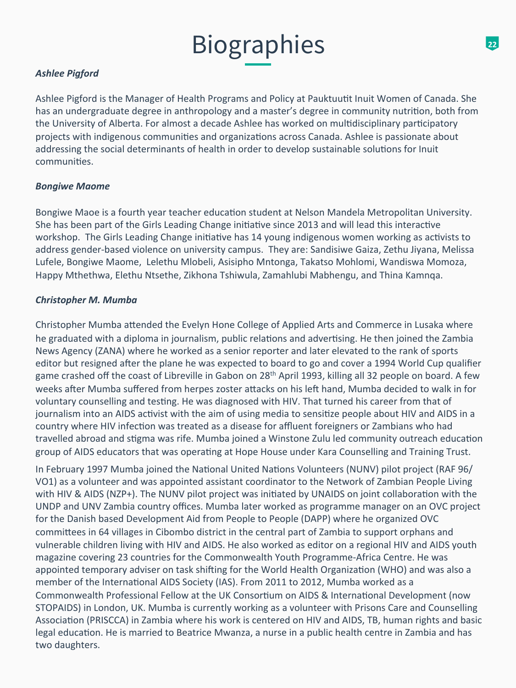## **Ashlee Pigford**

Ashlee Pigford is the Manager of Health Programs and Policy at Pauktuutit Inuit Women of Canada. She has an undergraduate degree in anthropology and a master's degree in community nutrition, both from the University of Alberta. For almost a decade Ashlee has worked on multidisciplinary participatory projects with indigenous communities and organizations across Canada. Ashlee is passionate about addressing the social determinants of health in order to develop sustainable solutions for Inuit communities.

#### *Bongiwe Maome*

Bongiwe Maoe is a fourth year teacher education student at Nelson Mandela Metropolitan University. She has been part of the Girls Leading Change initiative since 2013 and will lead this interactive workshop. The Girls Leading Change initiative has 14 young indigenous women working as activists to address gender-based violence on university campus. They are: Sandisiwe Gaiza, Zethu Jiyana, Melissa Lufele, Bongiwe Maome, Lelethu Mlobeli, Asisipho Mntonga, Takatso Mohlomi, Wandiswa Momoza, Happy Mthethwa, Elethu Ntsethe, Zikhona Tshiwula, Zamahlubi Mabhengu, and Thina Kamnqa.

#### **Christopher M. Mumba**

Christopher Mumba attended the Evelyn Hone College of Applied Arts and Commerce in Lusaka where he graduated with a diploma in journalism, public relations and advertising. He then joined the Zambia News Agency (ZANA) where he worked as a senior reporter and later elevated to the rank of sports editor but resigned after the plane he was expected to board to go and cover a 1994 World Cup qualifier game crashed off the coast of Libreville in Gabon on 28<sup>th</sup> April 1993, killing all 32 people on board. A few weeks after Mumba suffered from herpes zoster attacks on his left hand, Mumba decided to walk in for voluntary counselling and testing. He was diagnosed with HIV. That turned his career from that of journalism into an AIDS activist with the aim of using media to sensitize people about HIV and AIDS in a country where HIV infection was treated as a disease for affluent foreigners or Zambians who had travelled abroad and stigma was rife. Mumba joined a Winstone Zulu led community outreach education group of AIDS educators that was operating at Hope House under Kara Counselling and Training Trust.

In February 1997 Mumba joined the National United Nations Volunteers (NUNV) pilot project (RAF 96/ VO1) as a volunteer and was appointed assistant coordinator to the Network of Zambian People Living with HIV & AIDS (NZP+). The NUNV pilot project was initiated by UNAIDS on joint collaboration with the UNDP and UNV Zambia country offices. Mumba later worked as programme manager on an OVC project for the Danish based Development Aid from People to People (DAPP) where he organized OVC committees in 64 villages in Cibombo district in the central part of Zambia to support orphans and vulnerable children living with HIV and AIDS. He also worked as editor on a regional HIV and AIDS youth magazine covering 23 countries for the Commonwealth Youth Programme-Africa Centre. He was appointed temporary adviser on task shifting for the World Health Organization (WHO) and was also a member of the International AIDS Society (IAS). From 2011 to 2012, Mumba worked as a Commonwealth Professional Fellow at the UK Consortium on AIDS & International Development (now STOPAIDS) in London, UK. Mumba is currently working as a volunteer with Prisons Care and Counselling Association (PRISCCA) in Zambia where his work is centered on HIV and AIDS, TB, human rights and basic legal education. He is married to Beatrice Mwanza, a nurse in a public health centre in Zambia and has two daughters.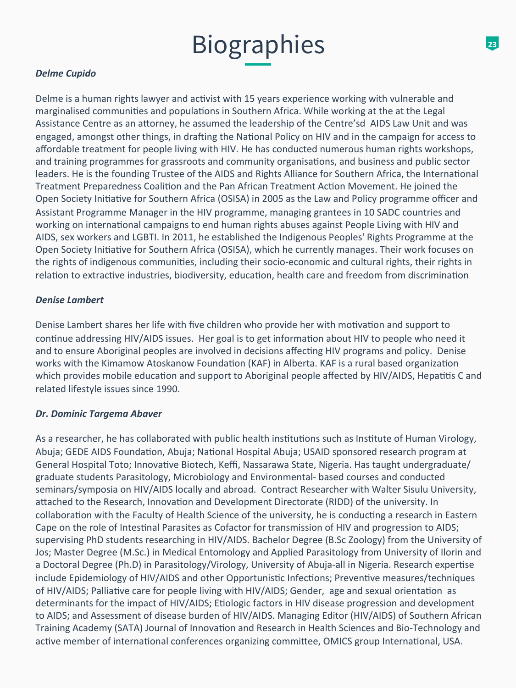## *Delme Cupido*

Delme is a human rights lawyer and activist with 15 years experience working with vulnerable and marginalised communities and populations in Southern Africa. While working at the at the Legal Assistance Centre as an attorney, he assumed the leadership of the Centre'sd AIDS Law Unit and was engaged, amongst other things, in drafting the National Policy on HIV and in the campaign for access to affordable treatment for people living with HIV. He has conducted numerous human rights workshops, and training programmes for grassroots and community organisations, and business and public sector leaders. He is the founding Trustee of the AIDS and Rights Alliance for Southern Africa, the International Treatment Preparedness Coalition and the Pan African Treatment Action Movement. He joined the Open Society Initiative for Southern Africa (OSISA) in 2005 as the Law and Policy programme officer and Assistant Programme Manager in the HIV programme, managing grantees in 10 SADC countries and working on international campaigns to end human rights abuses against People Living with HIV and AIDS, sex workers and LGBTI. In 2011, he established the Indigenous Peoples' Rights Programme at the Open Society Initiative for Southern Africa (OSISA), which he currently manages. Their work focuses on the rights of indigenous communities, including their socio-economic and cultural rights, their rights in relation to extractive industries, biodiversity, education, health care and freedom from discrimination

#### **Denise Lambert**

Denise Lambert shares her life with five children who provide her with motivation and support to continue addressing HIV/AIDS issues. Her goal is to get information about HIV to people who need it and to ensure Aboriginal peoples are involved in decisions affecting HIV programs and policy. Denise works with the Kimamow Atoskanow Foundation (KAF) in Alberta. KAF is a rural based organization which provides mobile education and support to Aboriginal people affected by HIV/AIDS, Hepatitis C and related lifestyle issues since 1990.

### *Dr. Dominic Targema Abaver*

As a researcher, he has collaborated with public health institutions such as Institute of Human Virology, Abuja; GEDE AIDS Foundation, Abuja; National Hospital Abuja; USAID sponsored research program at General Hospital Toto; Innovative Biotech, Keffi, Nassarawa State, Nigeria. Has taught undergraduate/ graduate students Parasitology, Microbiology and Environmental- based courses and conducted seminars/symposia on HIV/AIDS locally and abroad. Contract Researcher with Walter Sisulu University, attached to the Research, Innovation and Development Directorate (RIDD) of the university. In collaboration with the Faculty of Health Science of the university, he is conducting a research in Eastern Cape on the role of Intestinal Parasites as Cofactor for transmission of HIV and progression to AIDS; supervising PhD students researching in HIV/AIDS. Bachelor Degree (B.Sc Zoology) from the University of Jos; Master Degree (M.Sc.) in Medical Entomology and Applied Parasitology from University of Ilorin and a Doctoral Degree (Ph.D) in Parasitology/Virology, University of Abuja-all in Nigeria. Research expertise include Epidemiology of HIV/AIDS and other Opportunistic Infections; Preventive measures/techniques of HIV/AIDS; Palliative care for people living with HIV/AIDS; Gender, age and sexual orientation as determinants for the impact of HIV/AIDS; Etiologic factors in HIV disease progression and development to AIDS; and Assessment of disease burden of HIV/AIDS. Managing Editor (HIV/AIDS) of Southern African Training Academy (SATA) Journal of Innovation and Research in Health Sciences and Bio-Technology and active member of international conferences organizing committee, OMICS group International, USA.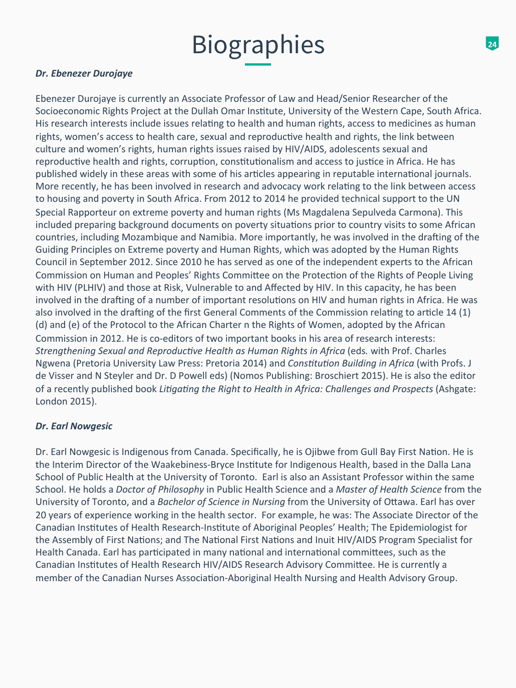### **Dr.** Ebenezer Durojaye

Ebenezer Durojaye is currently an Associate Professor of Law and Head/Senior Researcher of the Socioeconomic Rights Project at the Dullah Omar Institute, University of the Western Cape, South Africa. His research interests include issues relating to health and human rights, access to medicines as human rights, women's access to health care, sexual and reproductive health and rights, the link between culture and women's rights, human rights issues raised by HIV/AIDS, adolescents sexual and reproductive health and rights, corruption, constitutionalism and access to justice in Africa. He has published widely in these areas with some of his articles appearing in reputable international journals. More recently, he has been involved in research and advocacy work relating to the link between access to housing and poverty in South Africa. From 2012 to 2014 he provided technical support to the UN Special Rapporteur on extreme poverty and human rights (Ms Magdalena Sepulveda Carmona). This included preparing background documents on poverty situations prior to country visits to some African countries, including Mozambique and Namibia. More importantly, he was involved in the drafting of the Guiding Principles on Extreme poverty and Human Rights, which was adopted by the Human Rights Council in September 2012. Since 2010 he has served as one of the independent experts to the African Commission on Human and Peoples' Rights Committee on the Protection of the Rights of People Living with HIV (PLHIV) and those at Risk, Vulnerable to and Affected by HIV. In this capacity, he has been involved in the drafting of a number of important resolutions on HIV and human rights in Africa. He was also involved in the drafting of the first General Comments of the Commission relating to article 14 (1) (d) and (e) of the Protocol to the African Charter n the Rights of Women, adopted by the African Commission in 2012. He is co-editors of two important books in his area of research interests: *Strengthening Sexual and Reproductive Health as Human Rights in Africa (eds. with Prof. Charles* Ngwena (Pretoria University Law Press: Pretoria 2014) and *Constitution Building in Africa* (with Profs. J de Visser and N Steyler and Dr. D Powell eds) (Nomos Publishing: Broschiert 2015). He is also the editor of a recently published book *Litigating the Right to Health in Africa: Challenges and Prospects* (Ashgate: London 2015). 

### **Dr.** Earl Nowgesic

Dr. Earl Nowgesic is Indigenous from Canada. Specifically, he is Ojibwe from Gull Bay First Nation. He is the Interim Director of the Waakebiness-Bryce Institute for Indigenous Health, based in the Dalla Lana School of Public Health at the University of Toronto. Earl is also an Assistant Professor within the same School. He holds a *Doctor of Philosophy* in Public Health Science and a *Master of Health Science* from the University of Toronto, and a Bachelor of Science in Nursing from the University of Ottawa. Earl has over 20 years of experience working in the health sector. For example, he was: The Associate Director of the Canadian Institutes of Health Research-Institute of Aboriginal Peoples' Health; The Epidemiologist for the Assembly of First Nations; and The National First Nations and Inuit HIV/AIDS Program Specialist for Health Canada. Earl has participated in many national and international committees, such as the Canadian Institutes of Health Research HIV/AIDS Research Advisory Committee. He is currently a member of the Canadian Nurses Association-Aboriginal Health Nursing and Health Advisory Group.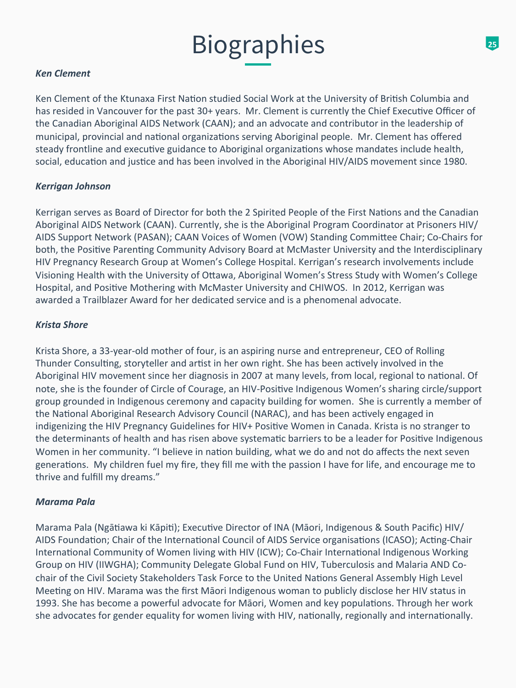### *Ken Clement*

Ken Clement of the Ktunaxa First Nation studied Social Work at the University of British Columbia and has resided in Vancouver for the past 30+ years. Mr. Clement is currently the Chief Executive Officer of the Canadian Aboriginal AIDS Network (CAAN); and an advocate and contributor in the leadership of municipal, provincial and national organizations serving Aboriginal people. Mr. Clement has offered steady frontline and executive guidance to Aboriginal organizations whose mandates include health, social, education and justice and has been involved in the Aboriginal HIV/AIDS movement since 1980.

### **Kerrigan Johnson**

Kerrigan serves as Board of Director for both the 2 Spirited People of the First Nations and the Canadian Aboriginal AIDS Network (CAAN). Currently, she is the Aboriginal Program Coordinator at Prisoners HIV/ AIDS Support Network (PASAN); CAAN Voices of Women (VOW) Standing Committee Chair; Co-Chairs for both, the Positive Parenting Community Advisory Board at McMaster University and the Interdisciplinary HIV Pregnancy Research Group at Women's College Hospital. Kerrigan's research involvements include Visioning Health with the University of Ottawa, Aboriginal Women's Stress Study with Women's College Hospital, and Positive Mothering with McMaster University and CHIWOS. In 2012, Kerrigan was awarded a Trailblazer Award for her dedicated service and is a phenomenal advocate.

#### *Krista Shore*

Krista Shore, a 33-year-old mother of four, is an aspiring nurse and entrepreneur, CEO of Rolling Thunder Consulting, storyteller and artist in her own right. She has been actively involved in the Aboriginal HIV movement since her diagnosis in 2007 at many levels, from local, regional to national. Of note, she is the founder of Circle of Courage, an HIV-Positive Indigenous Women's sharing circle/support group grounded in Indigenous ceremony and capacity building for women. She is currently a member of the National Aboriginal Research Advisory Council (NARAC), and has been actively engaged in indigenizing the HIV Pregnancy Guidelines for HIV+ Positive Women in Canada. Krista is no stranger to the determinants of health and has risen above systematic barriers to be a leader for Positive Indigenous Women in her community. "I believe in nation building, what we do and not do affects the next seven generations. My children fuel my fire, they fill me with the passion I have for life, and encourage me to thrive and fulfill my dreams."

### *Marama Pala*

Marama Pala (Ngātiawa ki Kāpiti); Executive Director of INA (Māori, Indigenous & South Pacific) HIV/ AIDS Foundation; Chair of the International Council of AIDS Service organisations (ICASO); Acting-Chair International Community of Women living with HIV (ICW); Co-Chair International Indigenous Working Group on HIV (IIWGHA); Community Delegate Global Fund on HIV, Tuberculosis and Malaria AND Cochair of the Civil Society Stakeholders Task Force to the United Nations General Assembly High Level Meeting on HIV. Marama was the first Māori Indigenous woman to publicly disclose her HIV status in 1993. She has become a powerful advocate for Māori, Women and key populations. Through her work she advocates for gender equality for women living with HIV, nationally, regionally and internationally.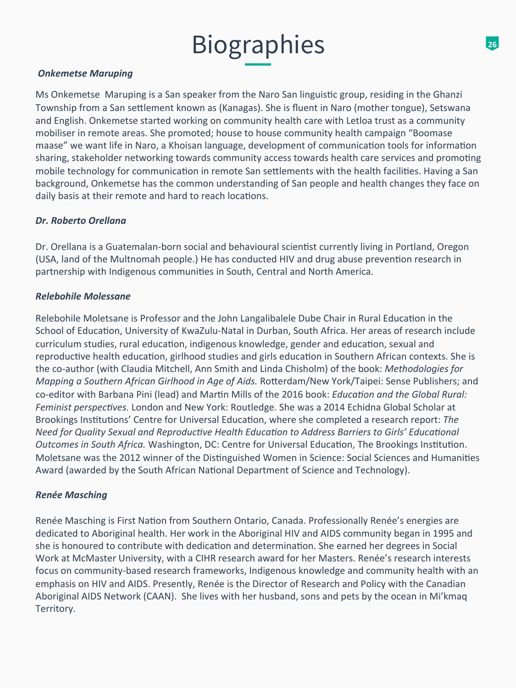#### **Onkemetse Maruping**

Ms Onkemetse Maruping is a San speaker from the Naro San linguistic group, residing in the Ghanzi Township from a San settlement known as (Kanagas). She is fluent in Naro (mother tongue), Setswana and English. Onkemetse started working on community health care with Letloa trust as a community mobiliser in remote areas. She promoted; house to house community health campaign "Boomase maase" we want life in Naro, a Khoisan language, development of communication tools for information sharing, stakeholder networking towards community access towards health care services and promoting mobile technology for communication in remote San settlements with the health facilities. Having a San background, Onkemetse has the common understanding of San people and health changes they face on daily basis at their remote and hard to reach locations.

#### Dr. Roberto Orellana

Dr. Orellana is a Guatemalan-born social and behavioural scientist currently living in Portland, Oregon (USA, land of the Multnomah people.) He has conducted HIV and drug abuse prevention research in partnership with Indigenous communities in South, Central and North America.

#### **Relebohile Molessane**

Relebohile Moletsane is Professor and the John Langalibalele Dube Chair in Rural Education in the School of Education, University of KwaZulu-Natal in Durban, South Africa. Her areas of research include curriculum studies, rural education, indigenous knowledge, gender and education, sexual and reproductive health education, girlhood studies and girls education in Southern African contexts. She is the co-author (with Claudia Mitchell, Ann Smith and Linda Chisholm) of the book: *Methodologies for Mapping a Southern African Girlhood in Age of Aids.* Rotterdam/New York/Taipei: Sense Publishers; and co-editor with Barbana Pini (lead) and Martin Mills of the 2016 book: *Education and the Global Rural:* Feminist perspectives. London and New York: Routledge. She was a 2014 Echidna Global Scholar at Brookings Institutions' Centre for Universal Education, where she completed a research report: The *Need for Quality Sexual and Reproductive Health Education to Address Barriers to Girls' Educational* **Outcomes in South Africa.** Washington, DC: Centre for Universal Education, The Brookings Institution. Moletsane was the 2012 winner of the Distinguished Women in Science: Social Sciences and Humanities Award (awarded by the South African National Department of Science and Technology).

### *Renée Masching*

Renée Masching is First Nation from Southern Ontario, Canada. Professionally Renée's energies are dedicated to Aboriginal health. Her work in the Aboriginal HIV and AIDS community began in 1995 and she is honoured to contribute with dedication and determination. She earned her degrees in Social Work at McMaster University, with a CIHR research award for her Masters. Renée's research interests focus on community-based research frameworks, Indigenous knowledge and community health with an emphasis on HIV and AIDS. Presently, Renée is the Director of Research and Policy with the Canadian Aboriginal AIDS Network (CAAN). She lives with her husband, sons and pets by the ocean in Mi'kmaq Territory.

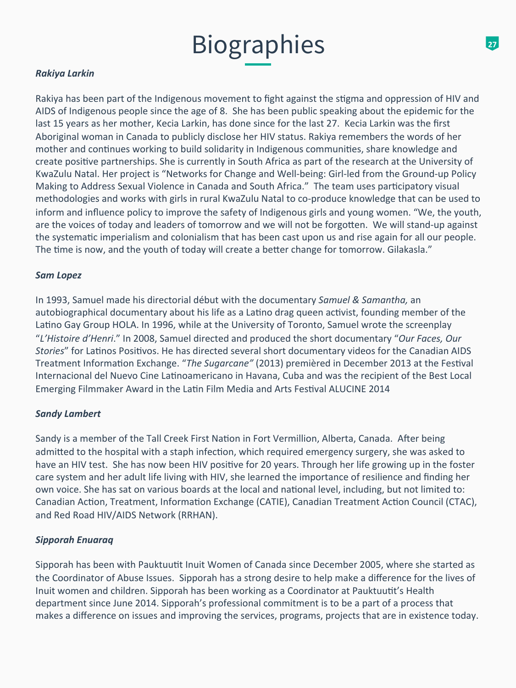## *Rakiya Larkin*

Rakiya has been part of the Indigenous movement to fight against the stigma and oppression of HIV and AIDS of Indigenous people since the age of 8. She has been public speaking about the epidemic for the last 15 years as her mother, Kecia Larkin, has done since for the last 27. Kecia Larkin was the first Aboriginal woman in Canada to publicly disclose her HIV status. Rakiya remembers the words of her mother and continues working to build solidarity in Indigenous communities, share knowledge and create positive partnerships. She is currently in South Africa as part of the research at the University of KwaZulu Natal. Her project is "Networks for Change and Well-being: Girl-led from the Ground-up Policy Making to Address Sexual Violence in Canada and South Africa." The team uses participatory visual methodologies and works with girls in rural KwaZulu Natal to co-produce knowledge that can be used to inform and influence policy to improve the safety of Indigenous girls and young women. "We, the youth, are the voices of today and leaders of tomorrow and we will not be forgotten. We will stand-up against the systematic imperialism and colonialism that has been cast upon us and rise again for all our people. The time is now, and the youth of today will create a better change for tomorrow. Gilakasla."

#### **Sam Lopez**

In 1993, Samuel made his directorial début with the documentary *Samuel & Samantha*, an autobiographical documentary about his life as a Latino drag queen activist, founding member of the Latino Gay Group HOLA. In 1996, while at the University of Toronto, Samuel wrote the screenplay "L'Histoire d'Henri." In 2008, Samuel directed and produced the short documentary "Our Faces, Our *Stories*" for Latinos Positivos. He has directed several short documentary videos for the Canadian AIDS Treatment Information Exchange. "The Sugarcane" (2013) premièred in December 2013 at the Festival Internacional del Nuevo Cine Latinoamericano in Havana, Cuba and was the recipient of the Best Local Emerging Filmmaker Award in the Latin Film Media and Arts Festival ALUCINE 2014

### **Sandy Lambert**

Sandy is a member of the Tall Creek First Nation in Fort Vermillion, Alberta, Canada. After being admitted to the hospital with a staph infection, which required emergency surgery, she was asked to have an HIV test. She has now been HIV positive for 20 years. Through her life growing up in the foster care system and her adult life living with HIV, she learned the importance of resilience and finding her own voice. She has sat on various boards at the local and national level, including, but not limited to: Canadian Action, Treatment, Information Exchange (CATIE), Canadian Treatment Action Council (CTAC), and Red Road HIV/AIDS Network (RRHAN).

### *Sipporah Enuaraq*

Sipporah has been with Pauktuutit Inuit Women of Canada since December 2005, where she started as the Coordinator of Abuse Issues. Sipporah has a strong desire to help make a difference for the lives of Inuit women and children. Sipporah has been working as a Coordinator at Pauktuutit's Health department since June 2014. Sipporah's professional commitment is to be a part of a process that makes a difference on issues and improving the services, programs, projects that are in existence today.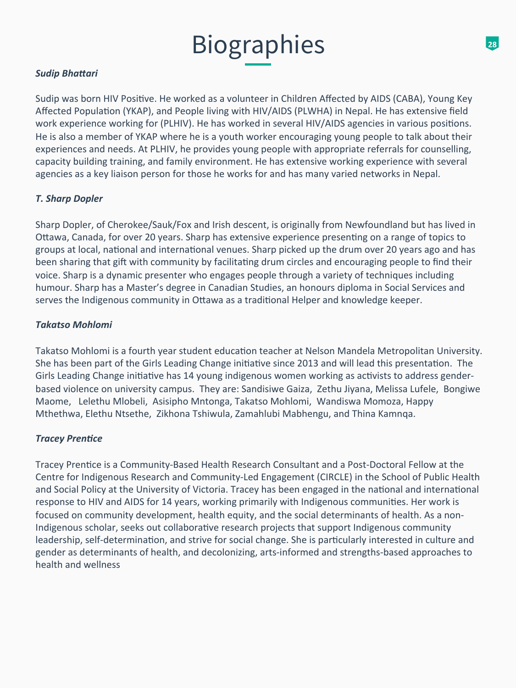## **Sudip Bhattari**

Sudip was born HIV Positive. He worked as a volunteer in Children Affected by AIDS (CABA), Young Key Affected Population (YKAP), and People living with HIV/AIDS (PLWHA) in Nepal. He has extensive field work experience working for (PLHIV). He has worked in several HIV/AIDS agencies in various positions. He is also a member of YKAP where he is a youth worker encouraging young people to talk about their experiences and needs. At PLHIV, he provides young people with appropriate referrals for counselling, capacity building training, and family environment. He has extensive working experience with several agencies as a key liaison person for those he works for and has many varied networks in Nepal.

### **T.** Sharp Dopler

Sharp Dopler, of Cherokee/Sauk/Fox and Irish descent, is originally from Newfoundland but has lived in Ottawa, Canada, for over 20 years. Sharp has extensive experience presenting on a range of topics to groups at local, national and international venues. Sharp picked up the drum over 20 years ago and has been sharing that gift with community by facilitating drum circles and encouraging people to find their voice. Sharp is a dynamic presenter who engages people through a variety of techniques including humour. Sharp has a Master's degree in Canadian Studies, an honours diploma in Social Services and serves the Indigenous community in Ottawa as a traditional Helper and knowledge keeper.

### *Takatso Mohlomi*

Takatso Mohlomi is a fourth year student education teacher at Nelson Mandela Metropolitan University. She has been part of the Girls Leading Change initiative since 2013 and will lead this presentation. The Girls Leading Change initiative has 14 young indigenous women working as activists to address genderbased violence on university campus. They are: Sandisiwe Gaiza, Zethu Jiyana, Melissa Lufele, Bongiwe Maome, Lelethu Mlobeli, Asisipho Mntonga, Takatso Mohlomi, Wandiswa Momoza, Happy Mthethwa, Elethu Ntsethe, Zikhona Tshiwula, Zamahlubi Mabhengu, and Thina Kamnqa.

### **Tracey Prentice**

Tracey Prentice is a Community-Based Health Research Consultant and a Post-Doctoral Fellow at the Centre for Indigenous Research and Community-Led Engagement (CIRCLE) in the School of Public Health and Social Policy at the University of Victoria. Tracey has been engaged in the national and international response to HIV and AIDS for 14 years, working primarily with Indigenous communities. Her work is focused on community development, health equity, and the social determinants of health. As a non-Indigenous scholar, seeks out collaborative research projects that support Indigenous community leadership, self-determination, and strive for social change. She is particularly interested in culture and gender as determinants of health, and decolonizing, arts-informed and strengths-based approaches to health and wellness

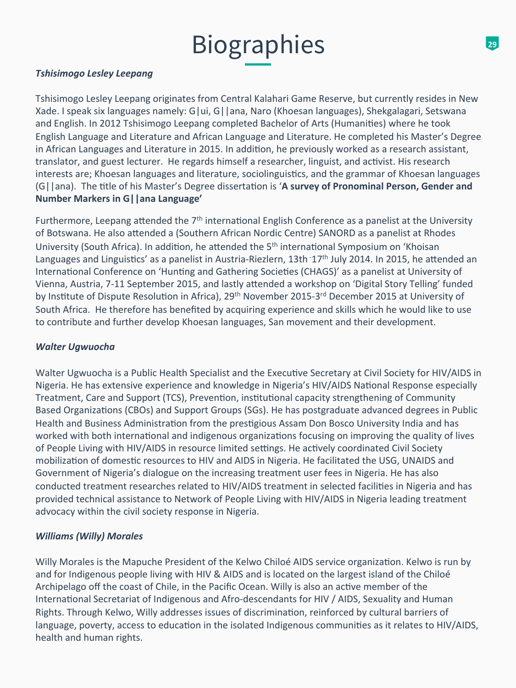#### *Tshisimogo Lesley Leepang*

Tshisimogo Lesley Leepang originates from Central Kalahari Game Reserve, but currently resides in New Xade. I speak six languages namely: G|ui, G||ana, Naro (Khoesan languages), Shekgalagari, Setswana and English. In 2012 Tshisimogo Leepang completed Bachelor of Arts (Humanities) where he took English Language and Literature and African Language and Literature. He completed his Master's Degree in African Languages and Literature in 2015. In addition, he previously worked as a research assistant, translator, and guest lecturer. He regards himself a researcher, linguist, and activist. His research interests are; Khoesan languages and literature, sociolinguistics, and the grammar of Khoesan languages (G||ana). The title of his Master's Degree dissertation is 'A survey of Pronominal Person, Gender and **Number Markers in G||ana Language'** 

Furthermore, Leepang attended the  $7<sup>th</sup>$  international English Conference as a panelist at the University of Botswana. He also attended a (Southern African Nordic Centre) SANORD as a panelist at Rhodes University (South Africa). In addition, he attended the 5<sup>th</sup> international Symposium on 'Khoisan Languages and Linguistics' as a panelist in Austria-Riezlern, 13th 17<sup>th</sup> July 2014. In 2015, he attended an International Conference on 'Hunting and Gathering Societies (CHAGS)' as a panelist at University of Vienna, Austria, 7-11 September 2015, and lastly attended a workshop on 'Digital Story Telling' funded by Institute of Dispute Resolution in Africa), 29<sup>th</sup> November 2015-3<sup>rd</sup> December 2015 at University of South Africa. He therefore has benefited by acquiring experience and skills which he would like to use to contribute and further develop Khoesan languages, San movement and their development.

#### *Walter Ugwuocha*

Walter Ugwuocha is a Public Health Specialist and the Executive Secretary at Civil Society for HIV/AIDS in Nigeria. He has extensive experience and knowledge in Nigeria's HIV/AIDS National Response especially Treatment, Care and Support (TCS), Prevention, institutional capacity strengthening of Community Based Organizations (CBOs) and Support Groups (SGs). He has postgraduate advanced degrees in Public Health and Business Administration from the prestigious Assam Don Bosco University India and has worked with both international and indigenous organizations focusing on improving the quality of lives of People Living with HIV/AIDS in resource limited settings. He actively coordinated Civil Society mobilization of domestic resources to HIV and AIDS in Nigeria. He facilitated the USG, UNAIDS and Government of Nigeria's dialogue on the increasing treatment user fees in Nigeria. He has also conducted treatment researches related to HIV/AIDS treatment in selected facilities in Nigeria and has provided technical assistance to Network of People Living with HIV/AIDS in Nigeria leading treatment advocacy within the civil society response in Nigeria.

### *Williams* (Willy) Morales

Willy Morales is the Mapuche President of the Kelwo Chiloé AIDS service organization. Kelwo is run by and for Indigenous people living with HIV & AIDS and is located on the largest island of the Chiloé Archipelago off the coast of Chile, in the Pacific Ocean. Willy is also an active member of the International Secretariat of Indigenous and Afro-descendants for HIV / AIDS, Sexuality and Human Rights. Through Kelwo, Willy addresses issues of discrimination, reinforced by cultural barriers of language, poverty, access to education in the isolated Indigenous communities as it relates to HIV/AIDS, health and human rights.